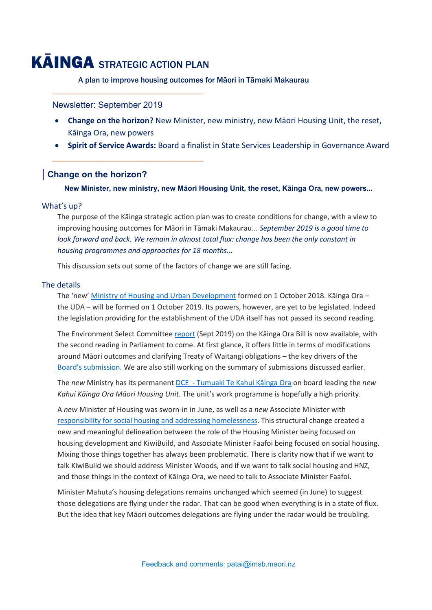# KĀINGA STRATEGIC ACTION PLAN

\_\_\_\_\_\_\_\_\_\_\_\_\_\_\_\_\_\_\_\_\_\_\_\_\_\_\_\_\_\_\_\_\_\_

\_\_\_\_\_\_\_\_\_\_\_\_\_\_\_\_\_\_\_\_\_\_\_\_\_\_\_\_\_\_\_\_\_\_

A plan to improve housing outcomes for Māori in Tāmaki Makaurau

Newsletter: September 2019

- **Change on the horizon?** New Minister, new ministry, new Māori Housing Unit, the reset, Kāinga Ora, new powers
- **Spirit of Service Awards:** Board a finalist in State Services Leadership in Governance Award

## **| Change on the horizon?**

 **New Minister, new ministry, new Māori Housing Unit, the reset, Kāinga Ora, new powers...**

#### What's up?

The purpose of the Kāinga strategic action plan was to create conditions for change, with a view to improving housing outcomes for Māori in Tāmaki Makaurau... *September 2019 is a good time to look forward and back. We remain in almost total flux: change has been the only constant in housing programmes and approaches for 18 months...*

This discussion sets out some of the factors of change we are still facing.

#### The details

The 'new' [Ministry of Housing and Urban Development](https://www.hud.govt.nz/about-hud/corporate-publications/) formed on 1 October 2018. Kāinga Ora – the UDA – will be formed on 1 October 2019. Its powers, however, are yet to be legislated. Indeed the legislation providing for the establishment of the UDA itself has not passed its second reading.

The Environment Select Committe[e report](https://www.parliament.nz/resource/en-NZ/SCR_91163/00a7e7c0c805b964b83eb634265cb99ae051ff6d) (Sept 2019) on the Kāinga Ora Bill is now available, with the second reading in Parliament to come. At first glance, it offers little in terms of modifications around Māori outcomes and clarifying Treaty of Waitangi obligations – the key drivers of the [Board's submission.](https://www.imsb.maori.nz/what-we-do/kainga-strategic-action-plan/) We are also still working on the summary of submissions discussed earlier.

The *new* Ministry has its permanent DCE - [Tumuaki Te Kahui Kāinga Ora](https://www.hud.govt.nz/about-hud/leadership-team/) on board leading the *new Kahui Kāinga Ora Māori Housing Unit.* The unit's work programme is hopefully a high priority.

A *new* Minister of Housing was sworn-in in June, as well as a *new* Associate Minister with [responsibility for social housing and addressing homelessn](https://dpmc.govt.nz/our-business-units/cabinet-office/ministers-and-their-portfolios/delegations)ess. This structural change created a new and meaningful delineation between the role of the Housing Minister being focused on housing development and KiwiBuild, and Associate Minister Faafoi being focused on social housing. Mixing those things together has always been problematic. There is clarity now that if we want to talk KiwiBuild we should address Minister Woods, and if we want to talk social housing and HNZ, and those things in the context of Kāinga Ora, we need to talk to Associate Minister Faafoi.

Minister Mahuta's housing delegations remains unchanged which seemed (in June) to suggest those delegations are flying under the radar. That can be good when everything is in a state of flux. But the idea that key Māori outcomes delegations are flying under the radar would be troubling.